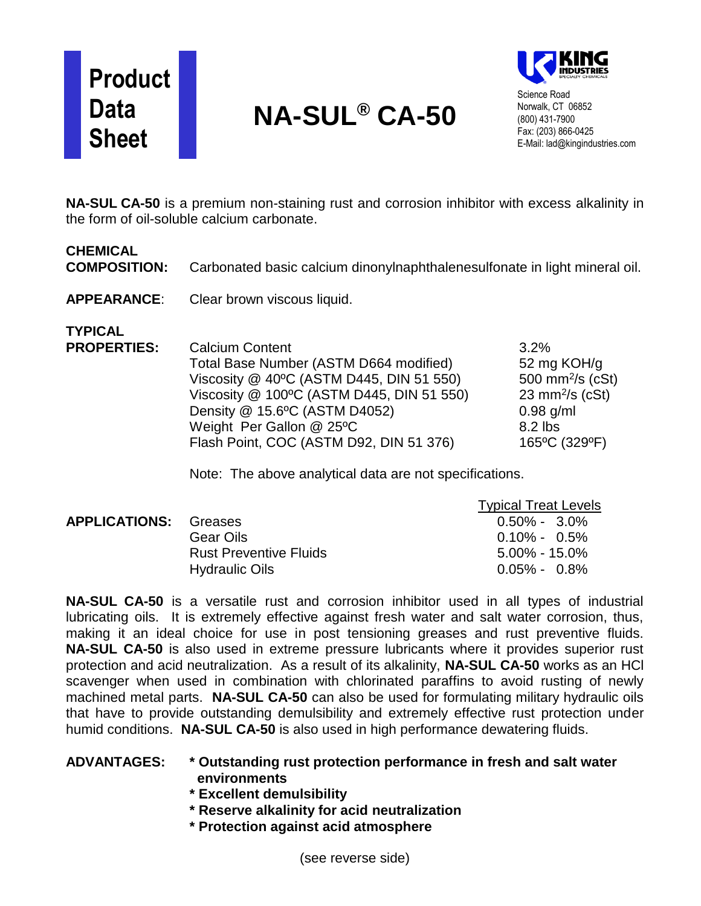# **Product Data Sheet**

# **NA-SUL® CA-50**



Science Road Norwalk, CT 06852 (800) 431-7900 Fax: (203) 866-0425 E-Mail: lad@kingindustries.com

**NA-SUL CA-50** is a premium non-staining rust and corrosion inhibitor with excess alkalinity in the form of oil-soluble calcium carbonate.

### **CHEMICAL**

**COMPOSITION:** Carbonated basic calcium dinonylnaphthalenesulfonate in light mineral oil.

**APPEARANCE**: Clear brown viscous liquid.

**TYPICAL**

**PROPERTIES:** Calcium Content 6.6 and 3.2% Total Base Number (ASTM D664 modified) 52 mg KOH/g Viscosity  $@$  40°C (ASTM D445, DIN 51 550)  $500 \text{ mm}^2\text{/s}$  (cSt) Viscosity  $@$  100°C (ASTM D445, DIN 51 550)  $23 \text{ mm}^2/\text{s}$  (cSt) Density @ 15.6°C (ASTM D4052) 0.98 g/ml Weight Per Gallon @ 25°C 8.2 lbs Flash Point, COC (ASTM D92, DIN 51 376) 165°C (329°F)

Note: The above analytical data are not specifications.

|                              |                               | <b>Typical Treat Levels</b> |
|------------------------------|-------------------------------|-----------------------------|
| <b>APPLICATIONS: Greases</b> |                               | $0.50\% - 3.0\%$            |
|                              | Gear Oils                     | $0.10\% - 0.5\%$            |
|                              | <b>Rust Preventive Fluids</b> | $5.00\%$ - 15.0%            |
|                              | <b>Hydraulic Oils</b>         | $0.05\% - 0.8\%$            |

**NA-SUL CA-50** is a versatile rust and corrosion inhibitor used in all types of industrial lubricating oils. It is extremely effective against fresh water and salt water corrosion, thus, making it an ideal choice for use in post tensioning greases and rust preventive fluids. **NA-SUL CA-50** is also used in extreme pressure lubricants where it provides superior rust protection and acid neutralization. As a result of its alkalinity, **NA-SUL CA-50** works as an HCl scavenger when used in combination with chlorinated paraffins to avoid rusting of newly machined metal parts. **NA-SUL CA-50** can also be used for formulating military hydraulic oils that have to provide outstanding demulsibility and extremely effective rust protection under humid conditions. **NA-SUL CA-50** is also used in high performance dewatering fluids.

#### **ADVANTAGES: \* Outstanding rust protection performance in fresh and salt water environments**

- **\* Excellent demulsibility**
- **\* Reserve alkalinity for acid neutralization**
- **\* Protection against acid atmosphere**